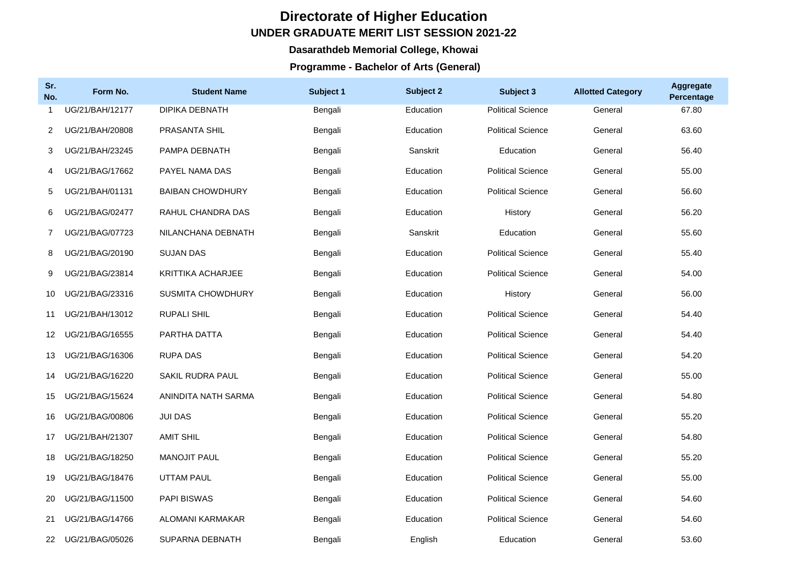## **Directorate of Higher Education UNDER GRADUATE MERIT LIST SESSION 2021-22**

## **Dasarathdeb Memorial College, Khowai**

## **Programme - Bachelor of Arts (General)**

| Sr.<br>No.      | Form No.        | <b>Student Name</b>      | Subject 1 | Subject 2 | Subject 3                | <b>Allotted Category</b> | <b>Aggregate</b><br>Percentage |
|-----------------|-----------------|--------------------------|-----------|-----------|--------------------------|--------------------------|--------------------------------|
| 1               | UG/21/BAH/12177 | DIPIKA DEBNATH           | Bengali   | Education | <b>Political Science</b> | General                  | 67.80                          |
| 2               | UG/21/BAH/20808 | PRASANTA SHIL            | Bengali   | Education | <b>Political Science</b> | General                  | 63.60                          |
| 3               | UG/21/BAH/23245 | PAMPA DEBNATH            | Bengali   | Sanskrit  | Education                | General                  | 56.40                          |
| 4               | UG/21/BAG/17662 | PAYEL NAMA DAS           | Bengali   | Education | <b>Political Science</b> | General                  | 55.00                          |
| 5               | UG/21/BAH/01131 | <b>BAIBAN CHOWDHURY</b>  | Bengali   | Education | <b>Political Science</b> | General                  | 56.60                          |
| 6               | UG/21/BAG/02477 | RAHUL CHANDRA DAS        | Bengali   | Education | History                  | General                  | 56.20                          |
| $\overline{7}$  | UG/21/BAG/07723 | NILANCHANA DEBNATH       | Bengali   | Sanskrit  | Education                | General                  | 55.60                          |
| 8               | UG/21/BAG/20190 | <b>SUJAN DAS</b>         | Bengali   | Education | <b>Political Science</b> | General                  | 55.40                          |
| 9               | UG/21/BAG/23814 | <b>KRITTIKA ACHARJEE</b> | Bengali   | Education | <b>Political Science</b> | General                  | 54.00                          |
| 10              | UG/21/BAG/23316 | SUSMITA CHOWDHURY        | Bengali   | Education | History                  | General                  | 56.00                          |
| 11              | UG/21/BAH/13012 | <b>RUPALI SHIL</b>       | Bengali   | Education | <b>Political Science</b> | General                  | 54.40                          |
| 12              | UG/21/BAG/16555 | PARTHA DATTA             | Bengali   | Education | <b>Political Science</b> | General                  | 54.40                          |
| 13 <sup>°</sup> | UG/21/BAG/16306 | <b>RUPA DAS</b>          | Bengali   | Education | <b>Political Science</b> | General                  | 54.20                          |
| 14              | UG/21/BAG/16220 | SAKIL RUDRA PAUL         | Bengali   | Education | <b>Political Science</b> | General                  | 55.00                          |
| 15              | UG/21/BAG/15624 | ANINDITA NATH SARMA      | Bengali   | Education | <b>Political Science</b> | General                  | 54.80                          |
| 16              | UG/21/BAG/00806 | <b>JUI DAS</b>           | Bengali   | Education | <b>Political Science</b> | General                  | 55.20                          |
| 17              | UG/21/BAH/21307 | <b>AMIT SHIL</b>         | Bengali   | Education | <b>Political Science</b> | General                  | 54.80                          |
| 18              | UG/21/BAG/18250 | MANOJIT PAUL             | Bengali   | Education | <b>Political Science</b> | General                  | 55.20                          |
| 19              | UG/21/BAG/18476 | <b>UTTAM PAUL</b>        | Bengali   | Education | <b>Political Science</b> | General                  | 55.00                          |
| 20              | UG/21/BAG/11500 | <b>PAPI BISWAS</b>       | Bengali   | Education | <b>Political Science</b> | General                  | 54.60                          |
| 21              | UG/21/BAG/14766 | ALOMANI KARMAKAR         | Bengali   | Education | <b>Political Science</b> | General                  | 54.60                          |
| 22              | UG/21/BAG/05026 | <b>SUPARNA DEBNATH</b>   | Bengali   | Enalish   | Education                | General                  | 53.60                          |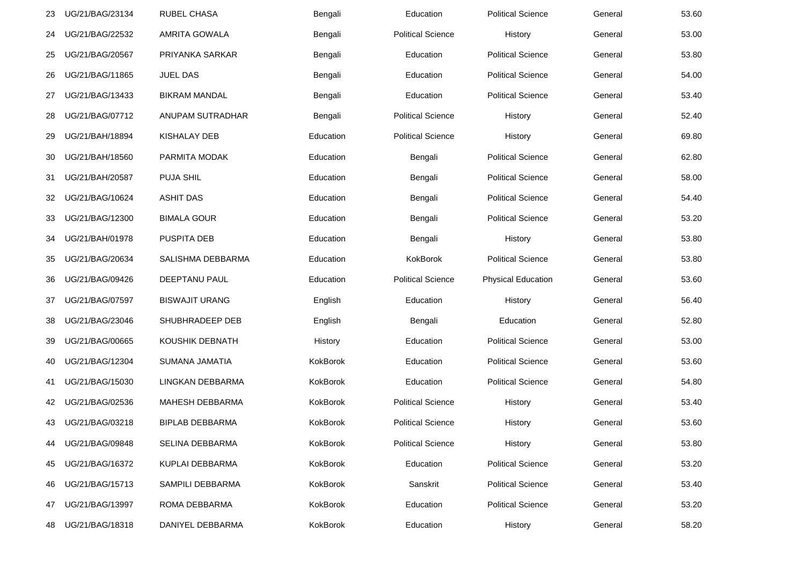| 23 | UG/21/BAG/23134 | RUBEL CHASA            | Bengali   | Education                | <b>Political Science</b>  | General | 53.60 |
|----|-----------------|------------------------|-----------|--------------------------|---------------------------|---------|-------|
| 24 | UG/21/BAG/22532 | <b>AMRITA GOWALA</b>   | Bengali   | <b>Political Science</b> | History                   | General | 53.00 |
| 25 | UG/21/BAG/20567 | PRIYANKA SARKAR        | Bengali   | Education                | <b>Political Science</b>  | General | 53.80 |
| 26 | UG/21/BAG/11865 | <b>JUEL DAS</b>        | Bengali   | Education                | <b>Political Science</b>  | General | 54.00 |
| 27 | UG/21/BAG/13433 | <b>BIKRAM MANDAL</b>   | Bengali   | Education                | <b>Political Science</b>  | General | 53.40 |
| 28 | UG/21/BAG/07712 | ANUPAM SUTRADHAR       | Bengali   | <b>Political Science</b> | History                   | General | 52.40 |
| 29 | UG/21/BAH/18894 | KISHALAY DEB           | Education | <b>Political Science</b> | History                   | General | 69.80 |
| 30 | UG/21/BAH/18560 | PARMITA MODAK          | Education | Bengali                  | <b>Political Science</b>  | General | 62.80 |
| 31 | UG/21/BAH/20587 | <b>PUJA SHIL</b>       | Education | Bengali                  | <b>Political Science</b>  | General | 58.00 |
| 32 | UG/21/BAG/10624 | <b>ASHIT DAS</b>       | Education | Bengali                  | <b>Political Science</b>  | General | 54.40 |
| 33 | UG/21/BAG/12300 | <b>BIMALA GOUR</b>     | Education | Bengali                  | <b>Political Science</b>  | General | 53.20 |
| 34 | UG/21/BAH/01978 | <b>PUSPITA DEB</b>     | Education | Bengali                  | History                   | General | 53.80 |
| 35 | UG/21/BAG/20634 | SALISHMA DEBBARMA      | Education | KokBorok                 | <b>Political Science</b>  | General | 53.80 |
| 36 | UG/21/BAG/09426 | DEEPTANU PAUL          | Education | <b>Political Science</b> | <b>Physical Education</b> | General | 53.60 |
| 37 | UG/21/BAG/07597 | <b>BISWAJIT URANG</b>  | English   | Education                | History                   | General | 56.40 |
| 38 | UG/21/BAG/23046 | SHUBHRADEEP DEB        | English   | Bengali                  | Education                 | General | 52.80 |
| 39 | UG/21/BAG/00665 | KOUSHIK DEBNATH        | History   | Education                | <b>Political Science</b>  | General | 53.00 |
| 40 | UG/21/BAG/12304 | SUMANA JAMATIA         | KokBorok  | Education                | <b>Political Science</b>  | General | 53.60 |
| 41 | UG/21/BAG/15030 | LINGKAN DEBBARMA       | KokBorok  | Education                | <b>Political Science</b>  | General | 54.80 |
| 42 | UG/21/BAG/02536 | MAHESH DEBBARMA        | KokBorok  | <b>Political Science</b> | History                   | General | 53.40 |
| 43 | UG/21/BAG/03218 | <b>BIPLAB DEBBARMA</b> | KokBorok  | <b>Political Science</b> | History                   | General | 53.60 |
| 44 | UG/21/BAG/09848 | SELINA DEBBARMA        | KokBorok  | <b>Political Science</b> | History                   | General | 53.80 |
| 45 | UG/21/BAG/16372 | KUPLAI DEBBARMA        | KokBorok  | Education                | <b>Political Science</b>  | General | 53.20 |
| 46 | UG/21/BAG/15713 | SAMPILI DEBBARMA       | KokBorok  | Sanskrit                 | <b>Political Science</b>  | General | 53.40 |
| 47 | UG/21/BAG/13997 | ROMA DEBBARMA          | KokBorok  | Education                | <b>Political Science</b>  | General | 53.20 |
| 48 | UG/21/BAG/18318 | DANIYEL DEBBARMA       | KokBorok  | Education                | History                   | General | 58.20 |